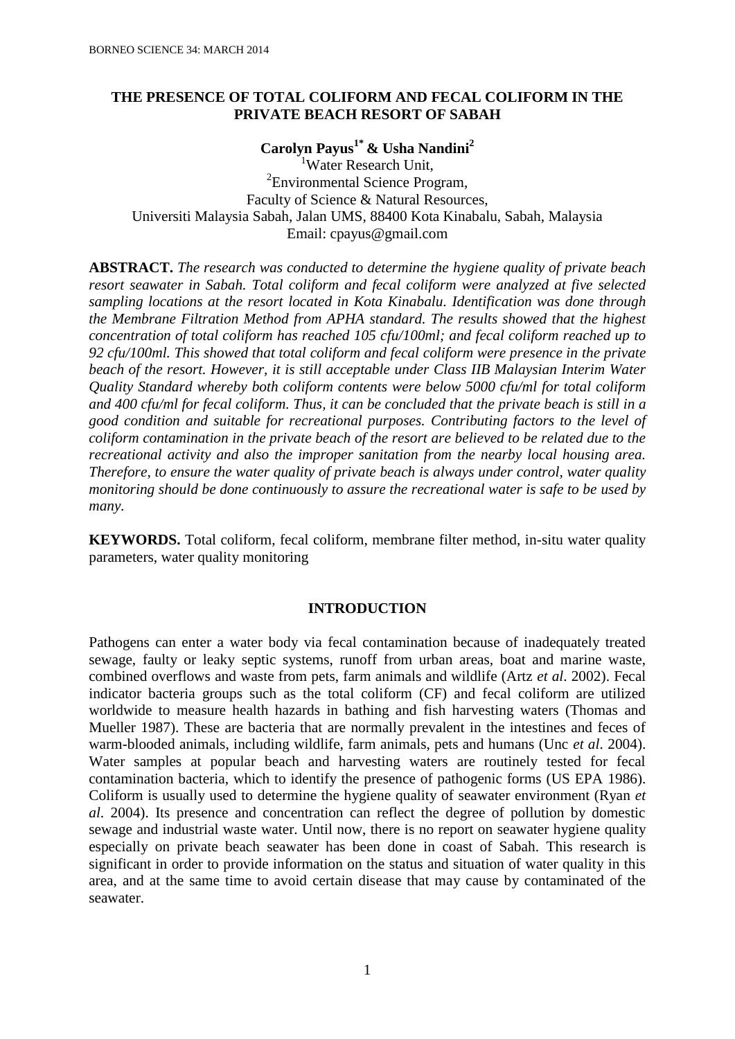# **THE PRESENCE OF TOTAL COLIFORM AND FECAL COLIFORM IN THE PRIVATE BEACH RESORT OF SABAH**

**Carolyn Payus1\* & Usha Nandini<sup>2</sup>** <sup>1</sup>Water Research Unit,

<sup>2</sup> Environmental Science Program, Faculty of Science & Natural Resources, Universiti Malaysia Sabah, Jalan UMS, 88400 Kota Kinabalu, Sabah, Malaysia Email: cpayus@gmail.com

**ABSTRACT.** *The research was conducted to determine the hygiene quality of private beach resort seawater in Sabah. Total coliform and fecal coliform were analyzed at five selected sampling locations at the resort located in Kota Kinabalu. Identification was done through the Membrane Filtration Method from APHA standard. The results showed that the highest concentration of total coliform has reached 105 cfu/100ml; and fecal coliform reached up to 92 cfu/100ml. This showed that total coliform and fecal coliform were presence in the private beach of the resort. However, it is still acceptable under Class IIB Malaysian Interim Water Quality Standard whereby both coliform contents were below 5000 cfu/ml for total coliform and 400 cfu/ml for fecal coliform. Thus, it can be concluded that the private beach is still in a good condition and suitable for recreational purposes. Contributing factors to the level of coliform contamination in the private beach of the resort are believed to be related due to the recreational activity and also the improper sanitation from the nearby local housing area. Therefore, to ensure the water quality of private beach is always under control, water quality monitoring should be done continuously to assure the recreational water is safe to be used by many.*

**KEYWORDS.** Total coliform, fecal coliform, membrane filter method, in-situ water quality parameters, water quality monitoring

## **INTRODUCTION**

Pathogens can enter a water body via fecal contamination because of inadequately treated sewage, faulty or leaky septic systems, runoff from urban areas, boat and marine waste, combined overflows and waste from pets, farm animals and wildlife (Artz *et al*. 2002). Fecal indicator bacteria groups such as the total coliform (CF) and fecal coliform are utilized worldwide to measure health hazards in bathing and fish harvesting waters (Thomas and Mueller 1987). These are bacteria that are normally prevalent in the intestines and feces of warm-blooded animals, including wildlife, farm animals, pets and humans (Unc *et al*. 2004). Water samples at popular beach and harvesting waters are routinely tested for fecal contamination bacteria, which to identify the presence of pathogenic forms (US EPA 1986). Coliform is usually used to determine the hygiene quality of seawater environment (Ryan *et al*. 2004). Its presence and concentration can reflect the degree of pollution by domestic sewage and industrial waste water. Until now, there is no report on seawater hygiene quality especially on private beach seawater has been done in coast of Sabah. This research is significant in order to provide information on the status and situation of water quality in this area, and at the same time to avoid certain disease that may cause by contaminated of the seawater.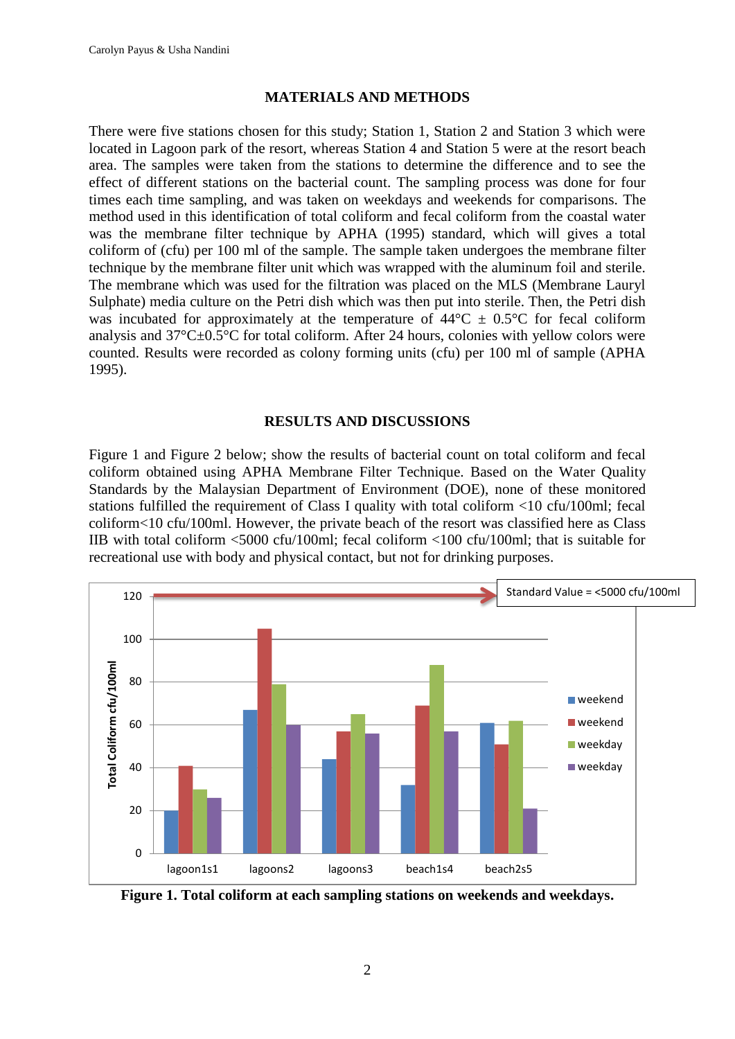## **MATERIALS AND METHODS**

There were five stations chosen for this study; Station 1, Station 2 and Station 3 which were located in Lagoon park of the resort, whereas Station 4 and Station 5 were at the resort beach area. The samples were taken from the stations to determine the difference and to see the effect of different stations on the bacterial count. The sampling process was done for four times each time sampling, and was taken on weekdays and weekends for comparisons. The method used in this identification of total coliform and fecal coliform from the coastal water was the membrane filter technique by APHA (1995) standard, which will gives a total coliform of (cfu) per 100 ml of the sample. The sample taken undergoes the membrane filter technique by the membrane filter unit which was wrapped with the aluminum foil and sterile. The membrane which was used for the filtration was placed on the MLS (Membrane Lauryl Sulphate) media culture on the Petri dish which was then put into sterile. Then, the Petri dish was incubated for approximately at the temperature of  $44^{\circ}C \pm 0.5^{\circ}C$  for fecal coliform analysis and  $37^{\circ}C \pm 0.5^{\circ}C$  for total coliform. After 24 hours, colonies with yellow colors were counted. Results were recorded as colony forming units (cfu) per 100 ml of sample (APHA 1995).

### **RESULTS AND DISCUSSIONS**

Figure 1 and Figure 2 below; show the results of bacterial count on total coliform and fecal coliform obtained using APHA Membrane Filter Technique. Based on the Water Quality Standards by the Malaysian Department of Environment (DOE), none of these monitored stations fulfilled the requirement of Class I quality with total coliform <10 cfu/100ml; fecal coliform<10 cfu/100ml. However, the private beach of the resort was classified here as Class IIB with total coliform <5000 cfu/100ml; fecal coliform <100 cfu/100ml; that is suitable for recreational use with body and physical contact, but not for drinking purposes.



**Figure 1. Total coliform at each sampling stations on weekends and weekdays.**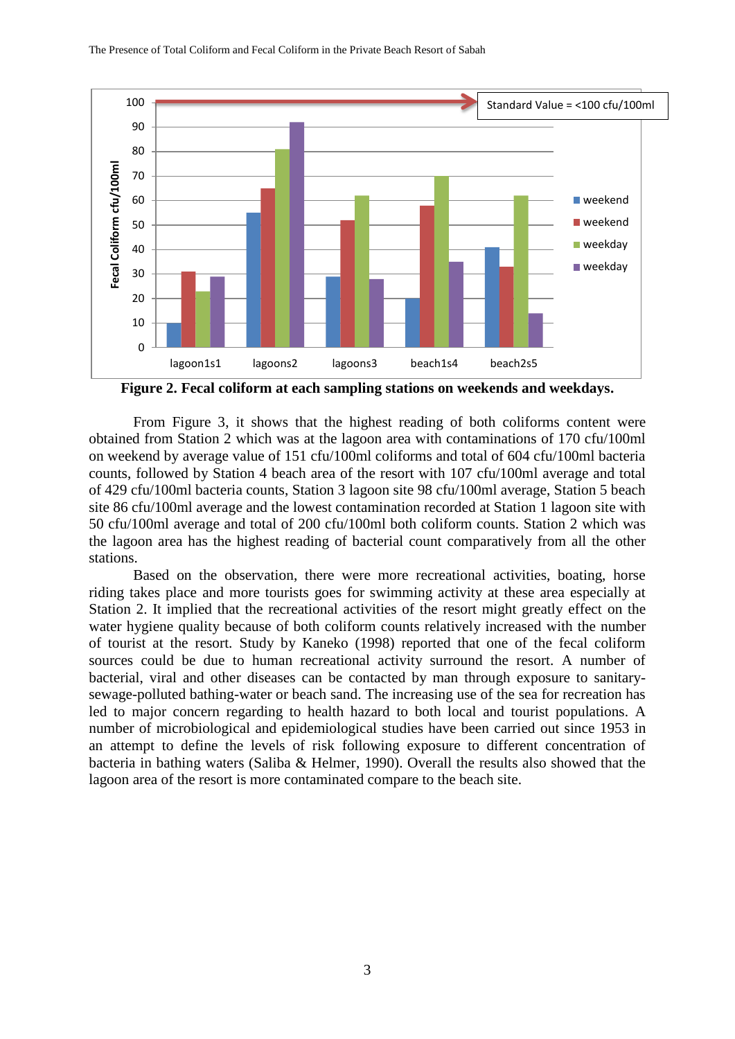

**Figure 2. Fecal coliform at each sampling stations on weekends and weekdays.**

From Figure 3, it shows that the highest reading of both coliforms content were obtained from Station 2 which was at the lagoon area with contaminations of 170 cfu/100ml on weekend by average value of 151 cfu/100ml coliforms and total of 604 cfu/100ml bacteria counts, followed by Station 4 beach area of the resort with 107 cfu/100ml average and total of 429 cfu/100ml bacteria counts, Station 3 lagoon site 98 cfu/100ml average, Station 5 beach site 86 cfu/100ml average and the lowest contamination recorded at Station 1 lagoon site with 50 cfu/100ml average and total of 200 cfu/100ml both coliform counts. Station 2 which was the lagoon area has the highest reading of bacterial count comparatively from all the other stations.

Based on the observation, there were more recreational activities, boating, horse riding takes place and more tourists goes for swimming activity at these area especially at Station 2. It implied that the recreational activities of the resort might greatly effect on the water hygiene quality because of both coliform counts relatively increased with the number of tourist at the resort. Study by Kaneko (1998) reported that one of the fecal coliform sources could be due to human recreational activity surround the resort. A number of bacterial, viral and other diseases can be contacted by man through exposure to sanitarysewage-polluted bathing-water or beach sand. The increasing use of the sea for recreation has led to major concern regarding to health hazard to both local and tourist populations. A number of microbiological and epidemiological studies have been carried out since 1953 in an attempt to define the levels of risk following exposure to different concentration of bacteria in bathing waters (Saliba & Helmer, 1990). Overall the results also showed that the lagoon area of the resort is more contaminated compare to the beach site.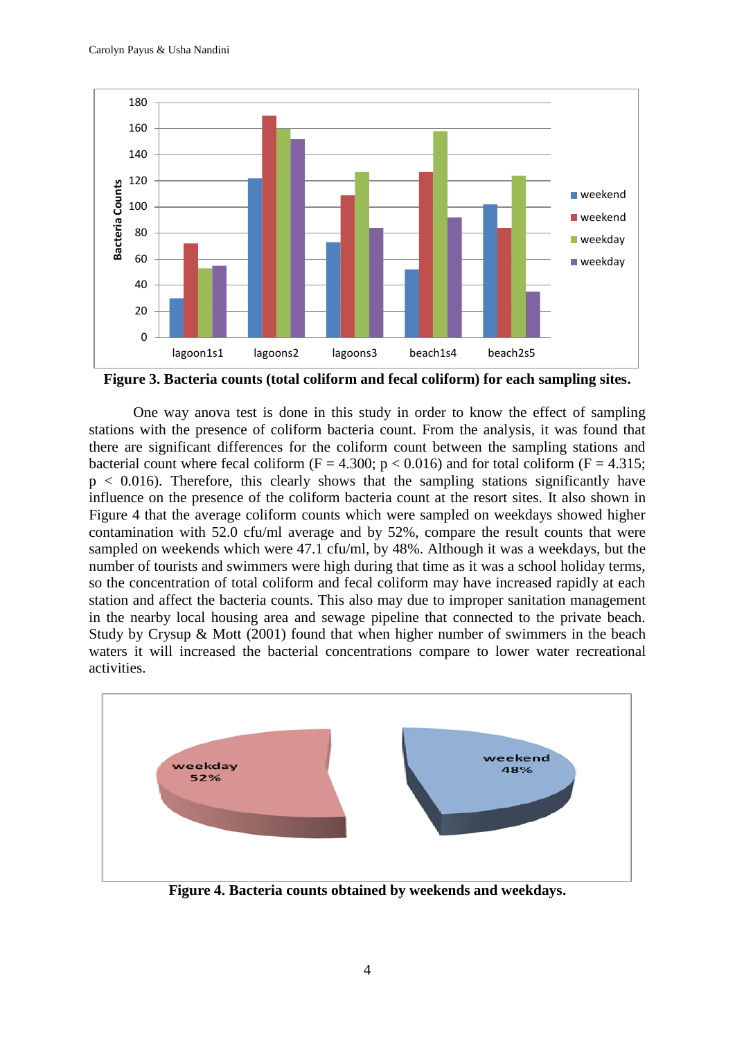

**Figure 3. Bacteria counts (total coliform and fecal coliform) for each sampling sites.**

One way anova test is done in this study in order to know the effect of sampling stations with the presence of coliform bacteria count. From the analysis, it was found that there are significant differences for the coliform count between the sampling stations and bacterial count where fecal coliform (F = 4.300;  $p < 0.016$ ) and for total coliform (F = 4.315;  $p < 0.016$ ). Therefore, this clearly shows that the sampling stations significantly have influence on the presence of the coliform bacteria count at the resort sites. It also shown in Figure 4 that the average coliform counts which were sampled on weekdays showed higher contamination with 52.0 cfu/ml average and by 52%, compare the result counts that were sampled on weekends which were 47.1 cfu/ml, by 48%. Although it was a weekdays, but the number of tourists and swimmers were high during that time as it was a school holiday terms, so the concentration of total coliform and fecal coliform may have increased rapidly at each station and affect the bacteria counts. This also may due to improper sanitation management in the nearby local housing area and sewage pipeline that connected to the private beach. Study by Crysup & Mott (2001) found that when higher number of swimmers in the beach waters it will increased the bacterial concentrations compare to lower water recreational activities.



**Figure 4. Bacteria counts obtained by weekends and weekdays.**